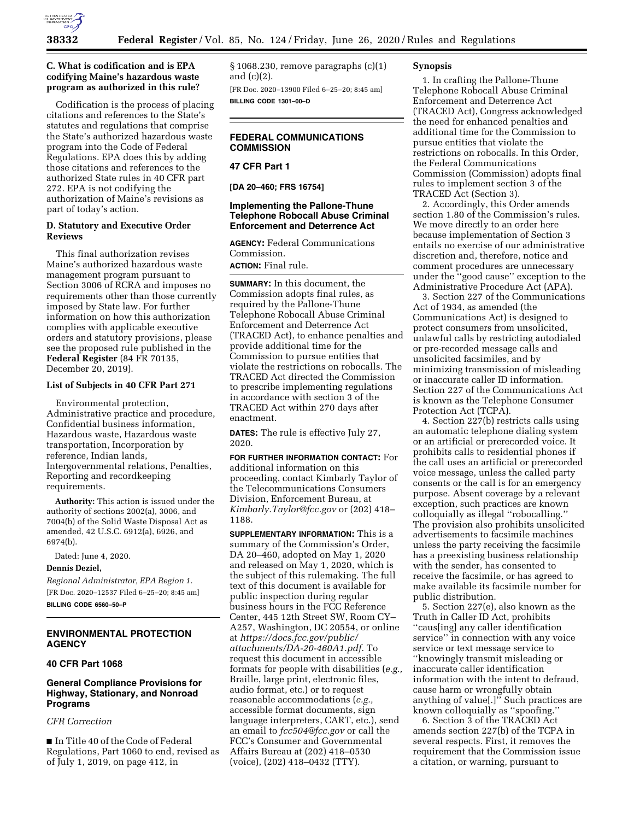

### **C. What is codification and is EPA codifying Maine's hazardous waste program as authorized in this rule?**

Codification is the process of placing citations and references to the State's statutes and regulations that comprise the State's authorized hazardous waste program into the Code of Federal Regulations. EPA does this by adding those citations and references to the authorized State rules in 40 CFR part 272. EPA is not codifying the authorization of Maine's revisions as part of today's action.

#### **D. Statutory and Executive Order Reviews**

This final authorization revises Maine's authorized hazardous waste management program pursuant to Section 3006 of RCRA and imposes no requirements other than those currently imposed by State law. For further information on how this authorization complies with applicable executive orders and statutory provisions, please see the proposed rule published in the **Federal Register** (84 FR 70135, December 20, 2019).

#### **List of Subjects in 40 CFR Part 271**

Environmental protection, Administrative practice and procedure, Confidential business information, Hazardous waste, Hazardous waste transportation, Incorporation by reference, Indian lands, Intergovernmental relations, Penalties, Reporting and recordkeeping requirements.

**Authority:** This action is issued under the authority of sections 2002(a), 3006, and 7004(b) of the Solid Waste Disposal Act as amended, 42 U.S.C. 6912(a), 6926, and 6974(b).

Dated: June 4, 2020.

## **Dennis Deziel,**

*Regional Administrator, EPA Region 1.*  [FR Doc. 2020–12537 Filed 6–25–20; 8:45 am]

**BILLING CODE 6560–50–P** 

### **ENVIRONMENTAL PROTECTION AGENCY**

### **40 CFR Part 1068**

# **General Compliance Provisions for Highway, Stationary, and Nonroad Programs**

## *CFR Correction*

■ In Title 40 of the Code of Federal Regulations, Part 1060 to end, revised as of July 1, 2019, on page 412, in

§ 1068.230, remove paragraphs (c)(1) and (c)(2).

[FR Doc. 2020–13900 Filed 6–25–20; 8:45 am] **BILLING CODE 1301–00–D** 

# **FEDERAL COMMUNICATIONS COMMISSION**

# **47 CFR Part 1**

**[DA 20–460; FRS 16754]** 

## **Implementing the Pallone-Thune Telephone Robocall Abuse Criminal Enforcement and Deterrence Act**

**AGENCY:** Federal Communications Commission.

**ACTION:** Final rule.

**SUMMARY:** In this document, the Commission adopts final rules, as required by the Pallone-Thune Telephone Robocall Abuse Criminal Enforcement and Deterrence Act (TRACED Act), to enhance penalties and provide additional time for the Commission to pursue entities that violate the restrictions on robocalls. The TRACED Act directed the Commission to prescribe implementing regulations in accordance with section 3 of the TRACED Act within 270 days after enactment.

**DATES:** The rule is effective July 27, 2020.

**FOR FURTHER INFORMATION CONTACT:** For additional information on this proceeding, contact Kimbarly Taylor of the Telecommunications Consumers Division, Enforcement Bureau, at *[Kimbarly.Taylor@fcc.gov](mailto:Kimbarly.Taylor@fcc.gov)* or (202) 418– 1188.

**SUPPLEMENTARY INFORMATION:** This is a summary of the Commission's Order, DA 20–460, adopted on May 1, 2020 and released on May 1, 2020, which is the subject of this rulemaking. The full text of this document is available for public inspection during regular business hours in the FCC Reference Center, 445 12th Street SW, Room CY– A257, Washington, DC 20554, or online at *[https://docs.fcc.gov/public/](https://docs.fcc.gov/public/attachments/DA-20-460A1.pdf)  [attachments/DA-20-460A1.pdf.](https://docs.fcc.gov/public/attachments/DA-20-460A1.pdf)* To request this document in accessible formats for people with disabilities (*e.g.,*  Braille, large print, electronic files, audio format, etc.) or to request reasonable accommodations (*e.g.,*  accessible format documents, sign language interpreters, CART, etc.), send an email to *[fcc504@fcc.gov](mailto:fcc504@fcc.gov)* or call the FCC's Consumer and Governmental Affairs Bureau at (202) 418–0530 (voice), (202) 418–0432 (TTY).

#### **Synopsis**

1. In crafting the Pallone-Thune Telephone Robocall Abuse Criminal Enforcement and Deterrence Act (TRACED Act), Congress acknowledged the need for enhanced penalties and additional time for the Commission to pursue entities that violate the restrictions on robocalls. In this Order, the Federal Communications Commission (Commission) adopts final rules to implement section 3 of the TRACED Act (Section 3).

2. Accordingly, this Order amends section 1.80 of the Commission's rules. We move directly to an order here because implementation of Section 3 entails no exercise of our administrative discretion and, therefore, notice and comment procedures are unnecessary under the ''good cause'' exception to the Administrative Procedure Act (APA).

3. Section 227 of the Communications Act of 1934, as amended (the Communications Act) is designed to protect consumers from unsolicited, unlawful calls by restricting autodialed or pre-recorded message calls and unsolicited facsimiles, and by minimizing transmission of misleading or inaccurate caller ID information. Section 227 of the Communications Act is known as the Telephone Consumer Protection Act (TCPA).

4. Section 227(b) restricts calls using an automatic telephone dialing system or an artificial or prerecorded voice. It prohibits calls to residential phones if the call uses an artificial or prerecorded voice message, unless the called party consents or the call is for an emergency purpose. Absent coverage by a relevant exception, such practices are known colloquially as illegal ''robocalling.'' The provision also prohibits unsolicited advertisements to facsimile machines unless the party receiving the facsimile has a preexisting business relationship with the sender, has consented to receive the facsimile, or has agreed to make available its facsimile number for public distribution.

5. Section 227(e), also known as the Truth in Caller ID Act, prohibits ''caus[ing] any caller identification service'' in connection with any voice service or text message service to ''knowingly transmit misleading or inaccurate caller identification information with the intent to defraud, cause harm or wrongfully obtain anything of value[.]'' Such practices are known colloquially as ''spoofing.''

6. Section 3 of the TRACED Act amends section 227(b) of the TCPA in several respects. First, it removes the requirement that the Commission issue a citation, or warning, pursuant to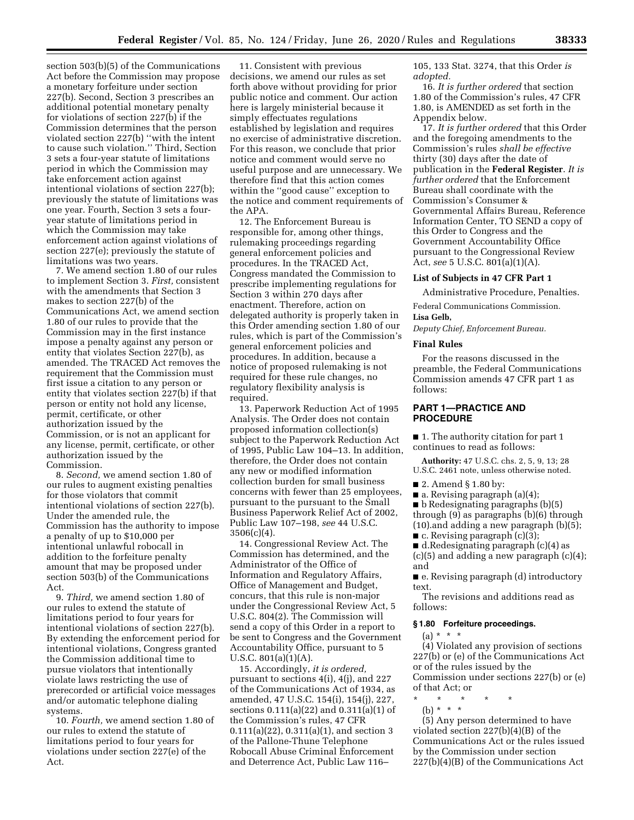section 503(b)(5) of the Communications Act before the Commission may propose a monetary forfeiture under section 227(b). Second, Section 3 prescribes an additional potential monetary penalty for violations of section 227(b) if the Commission determines that the person violated section 227(b) ''with the intent to cause such violation.'' Third, Section 3 sets a four-year statute of limitations period in which the Commission may take enforcement action against intentional violations of section 227(b); previously the statute of limitations was one year. Fourth, Section 3 sets a fouryear statute of limitations period in which the Commission may take enforcement action against violations of section 227(e); previously the statute of limitations was two years.

7. We amend section 1.80 of our rules to implement Section 3. *First,* consistent with the amendments that Section 3 makes to section 227(b) of the Communications Act, we amend section 1.80 of our rules to provide that the Commission may in the first instance impose a penalty against any person or entity that violates Section 227(b), as amended. The TRACED Act removes the requirement that the Commission must first issue a citation to any person or entity that violates section 227(b) if that person or entity not hold any license, permit, certificate, or other authorization issued by the Commission, or is not an applicant for any license, permit, certificate, or other authorization issued by the Commission.

8. *Second,* we amend section 1.80 of our rules to augment existing penalties for those violators that commit intentional violations of section 227(b). Under the amended rule, the Commission has the authority to impose a penalty of up to \$10,000 per intentional unlawful robocall in addition to the forfeiture penalty amount that may be proposed under section 503(b) of the Communications Act.

9. *Third,* we amend section 1.80 of our rules to extend the statute of limitations period to four years for intentional violations of section 227(b). By extending the enforcement period for intentional violations, Congress granted the Commission additional time to pursue violators that intentionally violate laws restricting the use of prerecorded or artificial voice messages and/or automatic telephone dialing systems.

10. *Fourth,* we amend section 1.80 of our rules to extend the statute of limitations period to four years for violations under section 227(e) of the Act.

11. Consistent with previous decisions, we amend our rules as set forth above without providing for prior public notice and comment. Our action here is largely ministerial because it simply effectuates regulations established by legislation and requires no exercise of administrative discretion. For this reason, we conclude that prior notice and comment would serve no useful purpose and are unnecessary. We therefore find that this action comes within the ''good cause'' exception to the notice and comment requirements of the APA.

12. The Enforcement Bureau is responsible for, among other things, rulemaking proceedings regarding general enforcement policies and procedures. In the TRACED Act, Congress mandated the Commission to prescribe implementing regulations for Section 3 within 270 days after enactment. Therefore, action on delegated authority is properly taken in this Order amending section 1.80 of our rules, which is part of the Commission's general enforcement policies and procedures. In addition, because a notice of proposed rulemaking is not required for these rule changes, no regulatory flexibility analysis is required.

13. Paperwork Reduction Act of 1995 Analysis. The Order does not contain proposed information collection(s) subject to the Paperwork Reduction Act of 1995, Public Law 104–13. In addition, therefore, the Order does not contain any new or modified information collection burden for small business concerns with fewer than 25 employees, pursuant to the pursuant to the Small Business Paperwork Relief Act of 2002, Public Law 107–198, *see* 44 U.S.C.  $3506(c)(4)$ .

14. Congressional Review Act. The Commission has determined, and the Administrator of the Office of Information and Regulatory Affairs, Office of Management and Budget, concurs, that this rule is non-major under the Congressional Review Act, 5 U.S.C. 804(2). The Commission will send a copy of this Order in a report to be sent to Congress and the Government Accountability Office, pursuant to 5 U.S.C. 801(a)(1)(A).

15. Accordingly, *it is ordered,*  pursuant to sections 4(i), 4(j), and 227 of the Communications Act of 1934, as amended, 47 U.S.C. 154(i), 154(j), 227, sections 0.111(a)(22) and 0.311(a)(1) of the Commission's rules, 47 CFR 0.111(a)(22), 0.311(a)(1), and section 3 of the Pallone-Thune Telephone Robocall Abuse Criminal Enforcement and Deterrence Act, Public Law 116–

105, 133 Stat. 3274, that this Order *is adopted.* 

16. *It is further ordered* that section 1.80 of the Commission's rules, 47 CFR 1.80, is AMENDED as set forth in the Appendix below.

17. *It is further ordered* that this Order and the foregoing amendments to the Commission's rules *shall be effective*  thirty (30) days after the date of publication in the **Federal Register**. *It is further ordered* that the Enforcement Bureau shall coordinate with the Commission's Consumer & Governmental Affairs Bureau, Reference Information Center, TO SEND a copy of this Order to Congress and the Government Accountability Office pursuant to the Congressional Review Act, *see* 5 U.S.C. 801(a)(1)(A).

#### **List of Subjects in 47 CFR Part 1**

Administrative Procedure, Penalties.

Federal Communications Commission. **Lisa Gelb,** 

*Deputy Chief, Enforcement Bureau.* 

#### **Final Rules**

For the reasons discussed in the preamble, the Federal Communications Commission amends 47 CFR part 1 as follows:

### **PART 1—PRACTICE AND PROCEDURE**

■ 1. The authority citation for part 1 continues to read as follows:

**Authority:** 47 U.S.C. chs. 2, 5, 9, 13; 28 U.S.C. 2461 note, unless otherwise noted.

■ 2. Amend § 1.80 by:

■ a. Revising paragraph (a)(4);

■ b Redesignating paragraphs (b)(5) through (9) as paragraphs (b)(6) through (10).and adding a new paragraph (b)(5);

 $\blacksquare$  c. Revising paragraph (c)(3);

■ d.Redesignating paragraph (c)(4) as  $(c)(5)$  and adding a new paragraph  $(c)(4)$ ; and

■ e. Revising paragraph (d) introductory text.

The revisions and additions read as follows:

### **§ 1.80 Forfeiture proceedings.**

 $(a) * * * *$ 

(4) Violated any provision of sections 227(b) or (e) of the Communications Act or of the rules issued by the Commission under sections 227(b) or (e) of that Act; or

- \* \* \* \* \*
- (b) \* \* \*

(5) Any person determined to have violated section 227(b)(4)(B) of the Communications Act or the rules issued by the Commission under section 227(b)(4)(B) of the Communications Act